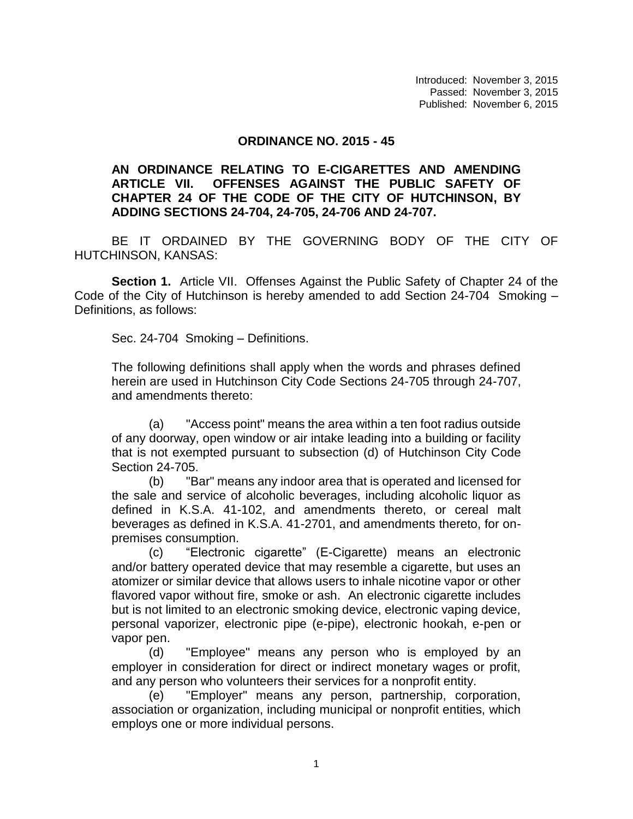Introduced: November 3, 2015 Passed: November 3, 2015 Published: November 6, 2015

## **ORDINANCE NO. 2015 - 45**

## **AN ORDINANCE RELATING TO E-CIGARETTES AND AMENDING ARTICLE VII. OFFENSES AGAINST THE PUBLIC SAFETY OF CHAPTER 24 OF THE CODE OF THE CITY OF HUTCHINSON, BY ADDING SECTIONS 24-704, 24-705, 24-706 AND 24-707.**

BE IT ORDAINED BY THE GOVERNING BODY OF THE CITY OF HUTCHINSON, KANSAS:

**Section 1.** Article VII. Offenses Against the Public Safety of Chapter 24 of the Code of the City of Hutchinson is hereby amended to add Section 24-704 Smoking – Definitions, as follows:

Sec. 24-704 Smoking – Definitions.

The following definitions shall apply when the words and phrases defined herein are used in Hutchinson City Code Sections 24-705 through 24-707, and amendments thereto:

(a) "Access point" means the area within a ten foot radius outside of any doorway, open window or air intake leading into a building or facility that is not exempted pursuant to subsection (d) of Hutchinson City Code Section 24-705.

(b) "Bar" means any indoor area that is operated and licensed for the sale and service of alcoholic beverages, including alcoholic liquor as defined in K.S.A. 41-102, and amendments thereto, or cereal malt beverages as defined in K.S.A. 41-2701, and amendments thereto, for onpremises consumption.

(c) "Electronic cigarette" (E-Cigarette) means an electronic and/or battery operated device that may resemble a cigarette, but uses an atomizer or similar device that allows users to inhale nicotine vapor or other flavored vapor without fire, smoke or ash. An electronic cigarette includes but is not limited to an electronic smoking device, electronic vaping device, personal vaporizer, electronic pipe (e-pipe), electronic hookah, e-pen or vapor pen.

(d) "Employee" means any person who is employed by an employer in consideration for direct or indirect monetary wages or profit, and any person who volunteers their services for a nonprofit entity.

(e) "Employer" means any person, partnership, corporation, association or organization, including municipal or nonprofit entities, which employs one or more individual persons.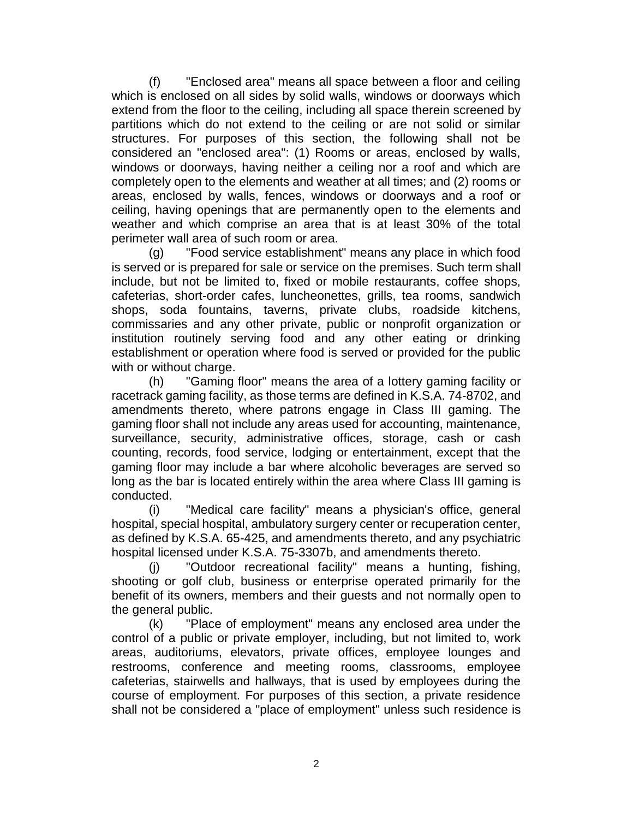"Enclosed area" means all space between a floor and ceiling which is enclosed on all sides by solid walls, windows or doorways which extend from the floor to the ceiling, including all space therein screened by partitions which do not extend to the ceiling or are not solid or similar structures. For purposes of this section, the following shall not be considered an "enclosed area": (1) Rooms or areas, enclosed by walls, windows or doorways, having neither a ceiling nor a roof and which are completely open to the elements and weather at all times; and (2) rooms or areas, enclosed by walls, fences, windows or doorways and a roof or ceiling, having openings that are permanently open to the elements and weather and which comprise an area that is at least 30% of the total perimeter wall area of such room or area.

(g) "Food service establishment" means any place in which food is served or is prepared for sale or service on the premises. Such term shall include, but not be limited to, fixed or mobile restaurants, coffee shops, cafeterias, short-order cafes, luncheonettes, grills, tea rooms, sandwich shops, soda fountains, taverns, private clubs, roadside kitchens, commissaries and any other private, public or nonprofit organization or institution routinely serving food and any other eating or drinking establishment or operation where food is served or provided for the public with or without charge.

(h) "Gaming floor" means the area of a lottery gaming facility or racetrack gaming facility, as those terms are defined in K.S.A. 74-8702, and amendments thereto, where patrons engage in Class III gaming. The gaming floor shall not include any areas used for accounting, maintenance, surveillance, security, administrative offices, storage, cash or cash counting, records, food service, lodging or entertainment, except that the gaming floor may include a bar where alcoholic beverages are served so long as the bar is located entirely within the area where Class III gaming is conducted.

(i) "Medical care facility" means a physician's office, general hospital, special hospital, ambulatory surgery center or recuperation center, as defined by K.S.A. 65-425, and amendments thereto, and any psychiatric hospital licensed under K.S.A. 75-3307b, and amendments thereto.

(j) "Outdoor recreational facility" means a hunting, fishing, shooting or golf club, business or enterprise operated primarily for the benefit of its owners, members and their guests and not normally open to the general public.

(k) "Place of employment" means any enclosed area under the control of a public or private employer, including, but not limited to, work areas, auditoriums, elevators, private offices, employee lounges and restrooms, conference and meeting rooms, classrooms, employee cafeterias, stairwells and hallways, that is used by employees during the course of employment. For purposes of this section, a private residence shall not be considered a "place of employment" unless such residence is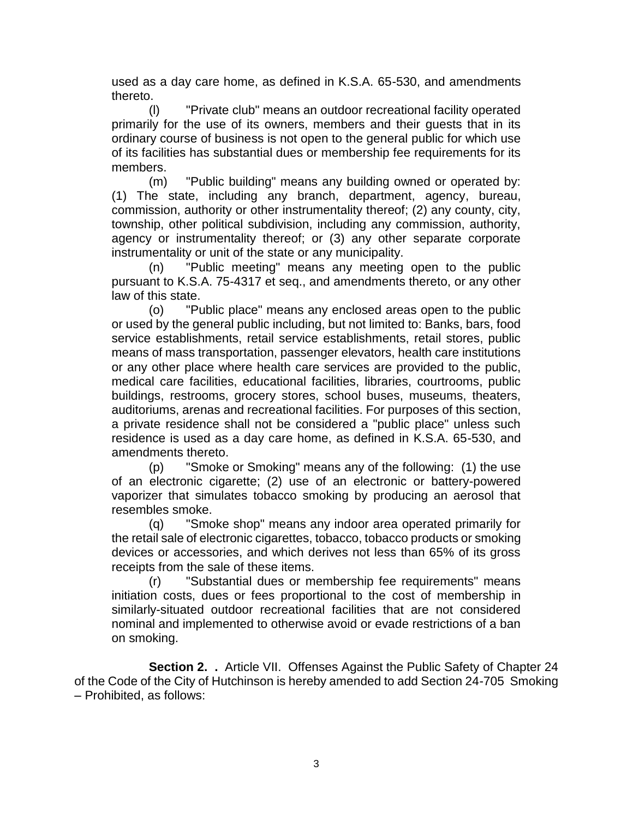used as a day care home, as defined in K.S.A. 65-530, and amendments thereto.

(l) "Private club" means an outdoor recreational facility operated primarily for the use of its owners, members and their guests that in its ordinary course of business is not open to the general public for which use of its facilities has substantial dues or membership fee requirements for its members.

(m) "Public building" means any building owned or operated by: (1) The state, including any branch, department, agency, bureau, commission, authority or other instrumentality thereof; (2) any county, city, township, other political subdivision, including any commission, authority, agency or instrumentality thereof; or (3) any other separate corporate instrumentality or unit of the state or any municipality.

(n) "Public meeting" means any meeting open to the public pursuant to K.S.A. 75-4317 et seq., and amendments thereto, or any other law of this state.

(o) "Public place" means any enclosed areas open to the public or used by the general public including, but not limited to: Banks, bars, food service establishments, retail service establishments, retail stores, public means of mass transportation, passenger elevators, health care institutions or any other place where health care services are provided to the public, medical care facilities, educational facilities, libraries, courtrooms, public buildings, restrooms, grocery stores, school buses, museums, theaters, auditoriums, arenas and recreational facilities. For purposes of this section, a private residence shall not be considered a "public place" unless such residence is used as a day care home, as defined in K.S.A. 65-530, and amendments thereto.

(p) "Smoke or Smoking" means any of the following: (1) the use of an electronic cigarette; (2) use of an electronic or battery-powered vaporizer that simulates tobacco smoking by producing an aerosol that resembles smoke.

(q) "Smoke shop" means any indoor area operated primarily for the retail sale of electronic cigarettes, tobacco, tobacco products or smoking devices or accessories, and which derives not less than 65% of its gross receipts from the sale of these items.

(r) "Substantial dues or membership fee requirements" means initiation costs, dues or fees proportional to the cost of membership in similarly-situated outdoor recreational facilities that are not considered nominal and implemented to otherwise avoid or evade restrictions of a ban on smoking.

**Section 2. .** Article VII. Offenses Against the Public Safety of Chapter 24 of the Code of the City of Hutchinson is hereby amended to add Section 24-705 Smoking – Prohibited, as follows: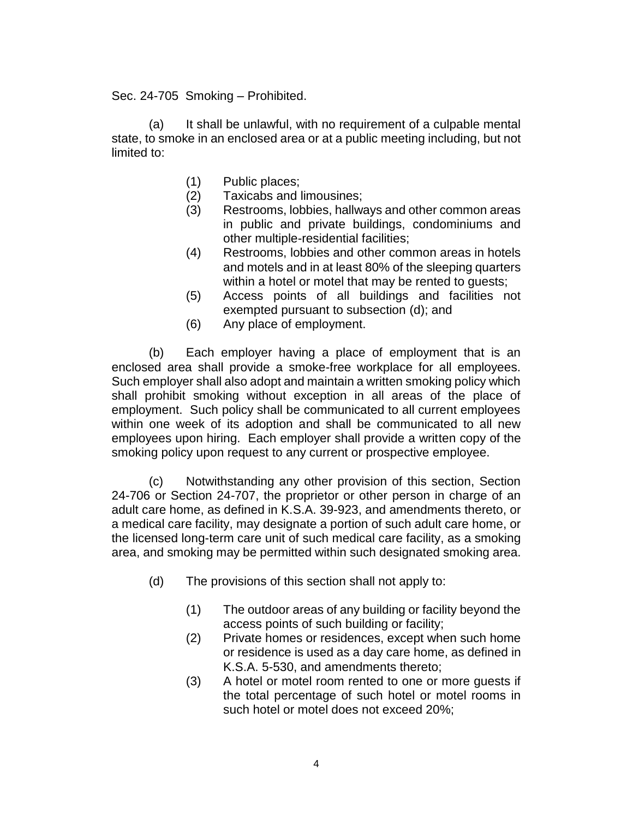Sec. 24-705 Smoking – Prohibited.

(a) It shall be unlawful, with no requirement of a culpable mental state, to smoke in an enclosed area or at a public meeting including, but not limited to:

- (1) Public places;
- (2) Taxicabs and limousines;
- (3) Restrooms, lobbies, hallways and other common areas in public and private buildings, condominiums and other multiple-residential facilities;
- (4) Restrooms, lobbies and other common areas in hotels and motels and in at least 80% of the sleeping quarters within a hotel or motel that may be rented to guests;
- (5) Access points of all buildings and facilities not exempted pursuant to subsection (d); and
- (6) Any place of employment.

(b) Each employer having a place of employment that is an enclosed area shall provide a smoke-free workplace for all employees. Such employer shall also adopt and maintain a written smoking policy which shall prohibit smoking without exception in all areas of the place of employment. Such policy shall be communicated to all current employees within one week of its adoption and shall be communicated to all new employees upon hiring. Each employer shall provide a written copy of the smoking policy upon request to any current or prospective employee.

(c) Notwithstanding any other provision of this section, Section 24-706 or Section 24-707, the proprietor or other person in charge of an adult care home, as defined in K.S.A. 39-923, and amendments thereto, or a medical care facility, may designate a portion of such adult care home, or the licensed long-term care unit of such medical care facility, as a smoking area, and smoking may be permitted within such designated smoking area.

- (d) The provisions of this section shall not apply to:
	- (1) The outdoor areas of any building or facility beyond the access points of such building or facility;
	- (2) Private homes or residences, except when such home or residence is used as a day care home, as defined in K.S.A. 5-530, and amendments thereto;
	- (3) A hotel or motel room rented to one or more guests if the total percentage of such hotel or motel rooms in such hotel or motel does not exceed 20%;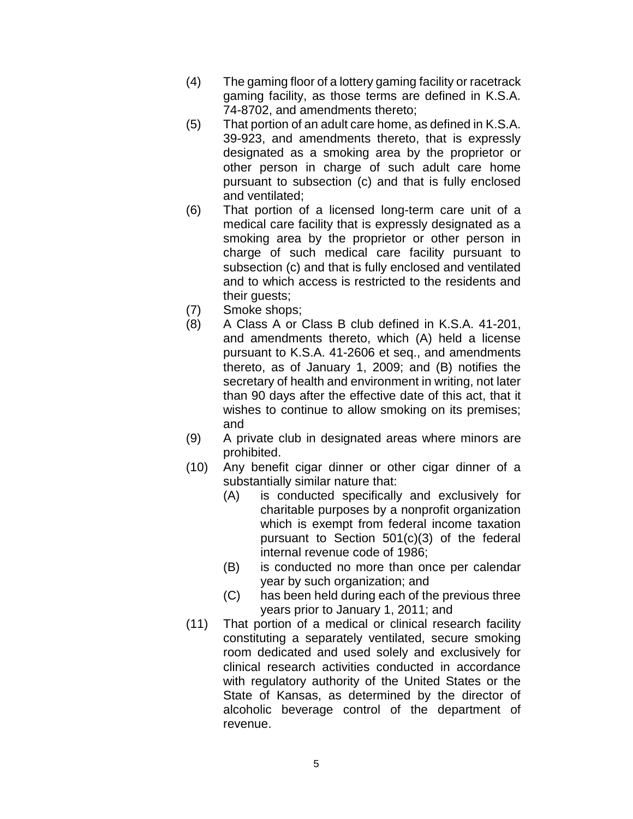- (4) The gaming floor of a lottery gaming facility or racetrack gaming facility, as those terms are defined in K.S.A. 74-8702, and amendments thereto;
- (5) That portion of an adult care home, as defined in K.S.A. 39-923, and amendments thereto, that is expressly designated as a smoking area by the proprietor or other person in charge of such adult care home pursuant to subsection (c) and that is fully enclosed and ventilated;
- (6) That portion of a licensed long-term care unit of a medical care facility that is expressly designated as a smoking area by the proprietor or other person in charge of such medical care facility pursuant to subsection (c) and that is fully enclosed and ventilated and to which access is restricted to the residents and their guests;
- (7) Smoke shops;
- (8) A Class A or Class B club defined in K.S.A. 41-201, and amendments thereto, which (A) held a license pursuant to K.S.A. 41-2606 et seq., and amendments thereto, as of January 1, 2009; and (B) notifies the secretary of health and environment in writing, not later than 90 days after the effective date of this act, that it wishes to continue to allow smoking on its premises; and
- (9) A private club in designated areas where minors are prohibited.
- (10) Any benefit cigar dinner or other cigar dinner of a substantially similar nature that:
	- (A) is conducted specifically and exclusively for charitable purposes by a nonprofit organization which is exempt from federal income taxation pursuant to Section 501(c)(3) of the federal internal revenue code of 1986;
	- (B) is conducted no more than once per calendar year by such organization; and
	- (C) has been held during each of the previous three years prior to January 1, 2011; and
- (11) That portion of a medical or clinical research facility constituting a separately ventilated, secure smoking room dedicated and used solely and exclusively for clinical research activities conducted in accordance with regulatory authority of the United States or the State of Kansas, as determined by the director of alcoholic beverage control of the department of revenue.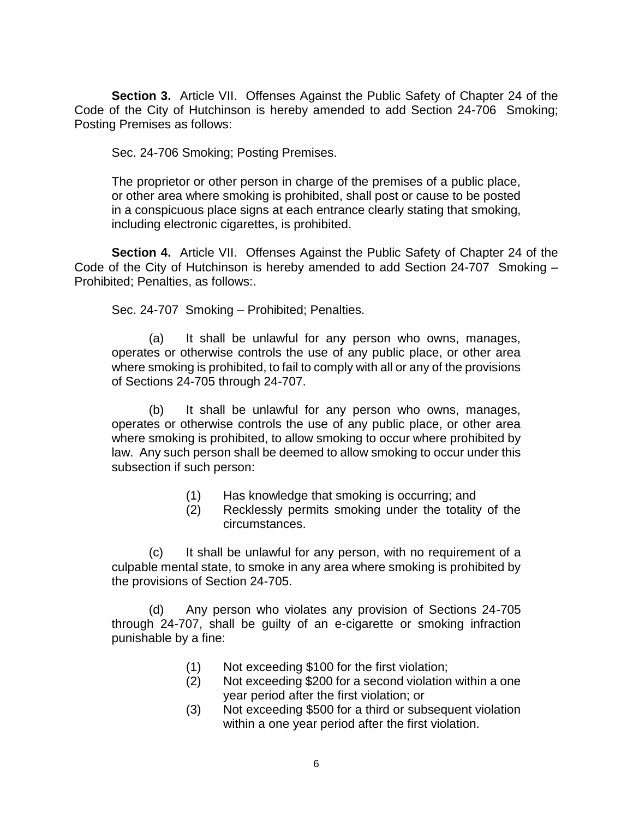**Section 3.** Article VII. Offenses Against the Public Safety of Chapter 24 of the Code of the City of Hutchinson is hereby amended to add Section 24-706 Smoking; Posting Premises as follows:

Sec. 24-706 Smoking; Posting Premises.

The proprietor or other person in charge of the premises of a public place, or other area where smoking is prohibited, shall post or cause to be posted in a conspicuous place signs at each entrance clearly stating that smoking, including electronic cigarettes, is prohibited.

**Section 4.** Article VII. Offenses Against the Public Safety of Chapter 24 of the Code of the City of Hutchinson is hereby amended to add Section 24-707 Smoking – Prohibited; Penalties, as follows:.

Sec. 24-707 Smoking – Prohibited; Penalties.

(a) It shall be unlawful for any person who owns, manages, operates or otherwise controls the use of any public place, or other area where smoking is prohibited, to fail to comply with all or any of the provisions of Sections 24-705 through 24-707.

(b) It shall be unlawful for any person who owns, manages, operates or otherwise controls the use of any public place, or other area where smoking is prohibited, to allow smoking to occur where prohibited by law. Any such person shall be deemed to allow smoking to occur under this subsection if such person:

- (1) Has knowledge that smoking is occurring; and
- (2) Recklessly permits smoking under the totality of the circumstances.

(c) It shall be unlawful for any person, with no requirement of a culpable mental state, to smoke in any area where smoking is prohibited by the provisions of Section 24-705.

(d) Any person who violates any provision of Sections 24-705 through 24-707, shall be guilty of an e-cigarette or smoking infraction punishable by a fine:

- (1) Not exceeding \$100 for the first violation;
- (2) Not exceeding \$200 for a second violation within a one year period after the first violation; or
- (3) Not exceeding \$500 for a third or subsequent violation within a one year period after the first violation.